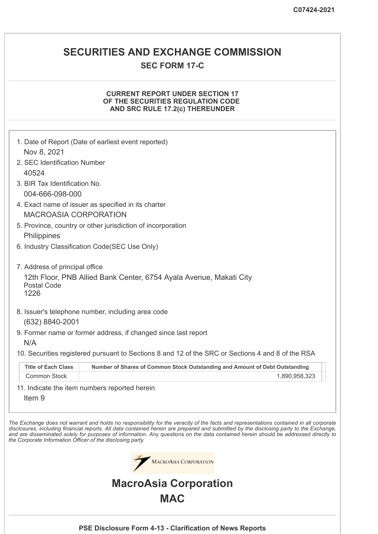# **SECURITIES AND EXCHANGE COMMISSION**

# **SEC FORM 17-C**

## **CURRENT REPORT UNDER SECTION 17 OF THE SECURITIES REGULATION CODE AND SRC RULE 17.2(c) THEREUNDER**

|                                                            | 1. Date of Report (Date of earliest event reported)                                                                                                                                                                                                                                                                                                                                                                      |
|------------------------------------------------------------|--------------------------------------------------------------------------------------------------------------------------------------------------------------------------------------------------------------------------------------------------------------------------------------------------------------------------------------------------------------------------------------------------------------------------|
| Nov 8, 2021                                                |                                                                                                                                                                                                                                                                                                                                                                                                                          |
| 2. SEC Identification Number                               |                                                                                                                                                                                                                                                                                                                                                                                                                          |
| 40524                                                      |                                                                                                                                                                                                                                                                                                                                                                                                                          |
| 3. BIR Tax Identification No.                              |                                                                                                                                                                                                                                                                                                                                                                                                                          |
| 004-666-098-000                                            |                                                                                                                                                                                                                                                                                                                                                                                                                          |
| <b>MACROASIA CORPORATION</b>                               | 4. Exact name of issuer as specified in its charter                                                                                                                                                                                                                                                                                                                                                                      |
|                                                            | 5. Province, country or other jurisdiction of incorporation                                                                                                                                                                                                                                                                                                                                                              |
| Philippines                                                |                                                                                                                                                                                                                                                                                                                                                                                                                          |
|                                                            | 6. Industry Classification Code(SEC Use Only)                                                                                                                                                                                                                                                                                                                                                                            |
|                                                            |                                                                                                                                                                                                                                                                                                                                                                                                                          |
| 7. Address of principal office                             | 12th Floor, PNB Allied Bank Center, 6754 Ayala Avenue, Makati City                                                                                                                                                                                                                                                                                                                                                       |
| <b>Postal Code</b><br>1226                                 |                                                                                                                                                                                                                                                                                                                                                                                                                          |
|                                                            | 8. Issuer's telephone number, including area code                                                                                                                                                                                                                                                                                                                                                                        |
| (632) 8840-2001                                            |                                                                                                                                                                                                                                                                                                                                                                                                                          |
| N/A                                                        | 9. Former name or former address, if changed since last report                                                                                                                                                                                                                                                                                                                                                           |
|                                                            | 10. Securities registered pursuant to Sections 8 and 12 of the SRC or Sections 4 and 8 of the RSA                                                                                                                                                                                                                                                                                                                        |
| <b>Title of Each Class</b>                                 | Number of Shares of Common Stock Outstanding and Amount of Debt Outstanding                                                                                                                                                                                                                                                                                                                                              |
| <b>Common Stock</b>                                        | 1,890,958,323                                                                                                                                                                                                                                                                                                                                                                                                            |
| Item <sub>9</sub>                                          | 11. Indicate the item numbers reported herein                                                                                                                                                                                                                                                                                                                                                                            |
| the Corporate Information Officer of the disclosing party. | The Exchange does not warrant and holds no responsibility for the veracity of the facts and representations contained in all corporate<br>disclosures, including financial reports. All data contained herein are prepared and submitted by the disclosing party to the Exchange,<br>and are disseminated solely for purposes of information. Any questions on the data contained herein should be addressed directly to |
|                                                            | <b>MACROASIA CORPORATION</b>                                                                                                                                                                                                                                                                                                                                                                                             |
|                                                            | <b>MacroAsia Corporation</b>                                                                                                                                                                                                                                                                                                                                                                                             |
|                                                            | <b>MAC</b>                                                                                                                                                                                                                                                                                                                                                                                                               |
|                                                            |                                                                                                                                                                                                                                                                                                                                                                                                                          |

**PSE Disclosure Form 4-13 - Clarification of News Reports**